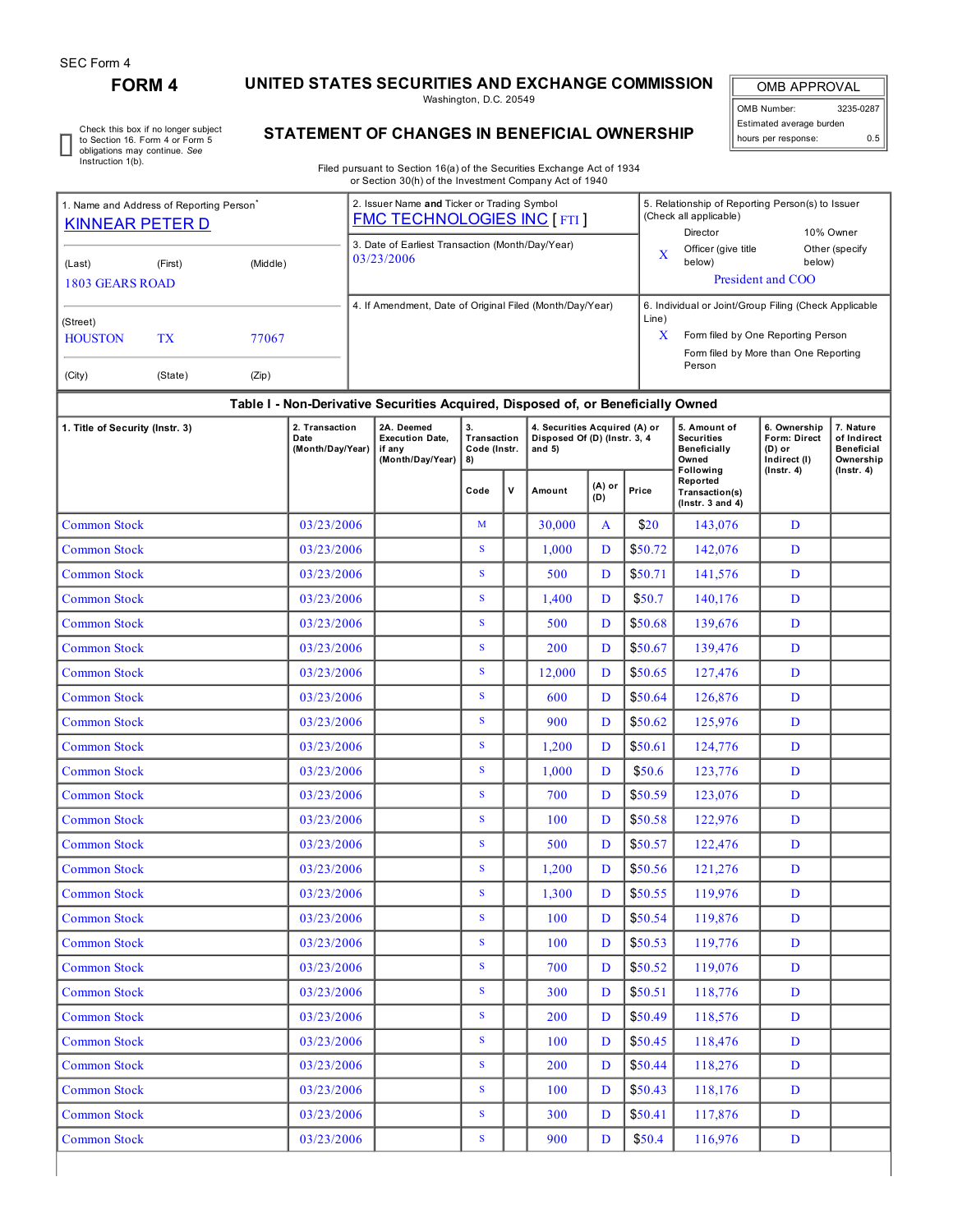r

## **FORM 4 UNITED STATES SECURITIES AND EXCHANGE COMMISSION**

Washington, D.C. 20549

OMB APPROVAL OMB Number: 3235-0287 Estimated average burden hours per response: 0.5

Check this box if no longer subject to Section 16. Form 4 or Form 5 obligations may continue. *See* Instruction 1(b).

## **STATEMENT OF CHANGES IN BENEFICIAL OWNERSHIP**

Filed pursuant to Section 16(a) of the Securities Exchange Act of 1934 or Section 30(h) of the Investment Company Act of 1940

| 1. Name and Address of Reporting Person<br><b>KINNEAR PETER D</b> |           |            |                                                          |  | 2. Issuer Name and Ticker or Trading Symbol<br><b>FMC TECHNOLOGIES INC [FTI]</b> |                                         |       |                                                                           |                                    | 5. Relationship of Reporting Person(s) to Issuer<br>(Check all applicable)<br>Director<br>10% Owner |                                                                   |                                                                 |                                                            |  |
|-------------------------------------------------------------------|-----------|------------|----------------------------------------------------------|--|----------------------------------------------------------------------------------|-----------------------------------------|-------|---------------------------------------------------------------------------|------------------------------------|-----------------------------------------------------------------------------------------------------|-------------------------------------------------------------------|-----------------------------------------------------------------|------------------------------------------------------------|--|
| (Last)                                                            | (First)   | (Middle)   |                                                          |  | 3. Date of Earliest Transaction (Month/Day/Year)<br>03/23/2006                   |                                         |       |                                                                           | $\overline{\mathbf{X}}$            | Officer (give title<br>below)                                                                       | below)                                                            | Other (specify                                                  |                                                            |  |
| <b>1803 GEARS ROAD</b>                                            |           |            |                                                          |  |                                                                                  |                                         |       | President and COO                                                         |                                    |                                                                                                     |                                                                   |                                                                 |                                                            |  |
|                                                                   |           |            | 4. If Amendment, Date of Original Filed (Month/Day/Year) |  |                                                                                  |                                         | Line) | 6. Individual or Joint/Group Filing (Check Applicable                     |                                    |                                                                                                     |                                                                   |                                                                 |                                                            |  |
| (Street)<br><b>HOUSTON</b>                                        | <b>TX</b> |            |                                                          |  |                                                                                  |                                         |       | X                                                                         | Form filed by One Reporting Person |                                                                                                     |                                                                   |                                                                 |                                                            |  |
|                                                                   |           |            |                                                          |  |                                                                                  |                                         |       |                                                                           |                                    | Form filed by More than One Reporting<br>Person                                                     |                                                                   |                                                                 |                                                            |  |
| (City)                                                            | (State)   | (Zip)      |                                                          |  |                                                                                  |                                         |       |                                                                           |                                    |                                                                                                     |                                                                   |                                                                 |                                                            |  |
|                                                                   |           |            |                                                          |  | Table I - Non-Derivative Securities Acquired, Disposed of, or Beneficially Owned |                                         |       |                                                                           |                                    |                                                                                                     |                                                                   |                                                                 |                                                            |  |
| 1. Title of Security (Instr. 3)                                   |           |            | 2. Transaction<br>Date<br>(Month/Day/Year)               |  | 2A. Deemed<br><b>Execution Date,</b><br>if any<br>(Month/Day/Year)               | 3.<br>Transaction<br>Code (Instr.<br>8) |       | 4. Securities Acquired (A) or<br>Disposed Of (D) (Instr. 3, 4<br>and $5)$ |                                    |                                                                                                     | 5. Amount of<br><b>Securities</b><br>Beneficially<br>Owned        | 6. Ownership<br><b>Form: Direct</b><br>$(D)$ or<br>Indirect (I) | 7. Nature<br>of Indirect<br><b>Beneficial</b><br>Ownership |  |
|                                                                   |           |            |                                                          |  |                                                                                  | Code                                    | ٧     | Amount                                                                    | (A) or<br>(D)                      | Price                                                                                               | Following<br>Reported<br>Transaction(s)<br>$($ Instr. 3 and 4 $)$ | $($ Instr. 4 $)$                                                | $($ Instr. 4 $)$                                           |  |
| <b>Common Stock</b>                                               |           |            | 03/23/2006                                               |  |                                                                                  | M                                       |       | 30.000                                                                    | A                                  | \$20                                                                                                | 143,076                                                           | D                                                               |                                                            |  |
| <b>Common Stock</b>                                               |           |            | 03/23/2006                                               |  |                                                                                  | $\mathbf S$                             |       | 1,000                                                                     | D                                  | \$50.72                                                                                             | 142,076                                                           | D                                                               |                                                            |  |
| <b>Common Stock</b>                                               |           |            | 03/23/2006                                               |  |                                                                                  | S                                       |       | 500                                                                       | D                                  | \$50.71                                                                                             | 141,576                                                           | D                                                               |                                                            |  |
| <b>Common Stock</b>                                               |           |            | 03/23/2006                                               |  |                                                                                  | S                                       |       | 1,400                                                                     | D                                  | \$50.7                                                                                              | 140,176                                                           | D                                                               |                                                            |  |
| <b>Common Stock</b>                                               |           |            | 03/23/2006                                               |  |                                                                                  | ${\bf S}$                               |       | 500                                                                       | D                                  | \$50.68                                                                                             | 139,676                                                           | D                                                               |                                                            |  |
| <b>Common Stock</b>                                               |           |            | 03/23/2006                                               |  |                                                                                  | $\mathbf S$                             |       | 200                                                                       | D                                  | \$50.67                                                                                             | 139,476                                                           | D                                                               |                                                            |  |
| <b>Common Stock</b>                                               |           |            | 03/23/2006                                               |  |                                                                                  | S                                       |       | 12,000                                                                    | D                                  | \$50.65                                                                                             | 127,476                                                           | D                                                               |                                                            |  |
| <b>Common Stock</b>                                               |           | 03/23/2006 |                                                          |  | S                                                                                |                                         | 600   | D                                                                         | \$50.64                            | 126,876                                                                                             | D                                                                 |                                                                 |                                                            |  |
| <b>Common Stock</b>                                               |           |            | 03/23/2006                                               |  |                                                                                  | $\mathbf S$                             |       | 900                                                                       | D                                  | \$50.62                                                                                             | 125,976                                                           | D                                                               |                                                            |  |
| <b>Common Stock</b>                                               |           | 03/23/2006 |                                                          |  | S                                                                                |                                         | 1,200 | D                                                                         | \$50.61                            | 124,776                                                                                             | D                                                                 |                                                                 |                                                            |  |
| <b>Common Stock</b>                                               |           | 03/23/2006 |                                                          |  | $\mathbf S$                                                                      |                                         | 1,000 | D                                                                         | \$50.6\$                           | 123,776                                                                                             | D                                                                 |                                                                 |                                                            |  |
| <b>Common Stock</b>                                               |           | 03/23/2006 |                                                          |  | S                                                                                |                                         | 700   | D                                                                         | \$50.59                            | 123,076                                                                                             | D                                                                 |                                                                 |                                                            |  |
| <b>Common Stock</b>                                               |           |            | 03/23/2006                                               |  |                                                                                  | S                                       |       | 100                                                                       | D                                  | \$50.58                                                                                             | 122,976                                                           | D                                                               |                                                            |  |
| <b>Common Stock</b>                                               |           |            | 03/23/2006                                               |  |                                                                                  | $\mathbf S$                             |       | 500                                                                       | D                                  | \$50.57                                                                                             | 122,476                                                           | D                                                               |                                                            |  |
| <b>Common Stock</b>                                               |           |            | 03/23/2006                                               |  |                                                                                  | $\mathbf S$                             |       | 1,200                                                                     | D                                  | \$50.56                                                                                             | 121,276                                                           | D                                                               |                                                            |  |
| <b>Common Stock</b>                                               |           |            | 03/23/2006                                               |  |                                                                                  | $\mathbf S$                             |       | 1,300                                                                     | $\mathbf D$                        | \$50.55                                                                                             | 119,976                                                           | D                                                               |                                                            |  |
| <b>Common Stock</b>                                               |           |            | 03/23/2006                                               |  |                                                                                  | $\overline{\mathbf{S}}$                 |       | 100                                                                       | D                                  | \$50.54                                                                                             | 119,876                                                           | D                                                               |                                                            |  |
| <b>Common Stock</b>                                               |           |            | 03/23/2006                                               |  |                                                                                  | S                                       |       | 100                                                                       | D                                  | \$50.53                                                                                             | 119,776                                                           | D                                                               |                                                            |  |
| <b>Common Stock</b>                                               |           |            | 03/23/2006                                               |  |                                                                                  | S                                       |       | 700                                                                       | D                                  | \$50.52                                                                                             | 119,076                                                           | D                                                               |                                                            |  |
| <b>Common Stock</b>                                               |           |            | 03/23/2006                                               |  |                                                                                  | S                                       |       | 300                                                                       | D                                  | \$50.51                                                                                             | 118,776                                                           | D                                                               |                                                            |  |
| <b>Common Stock</b>                                               |           |            | 03/23/2006                                               |  |                                                                                  | S                                       |       | 200                                                                       | D                                  | \$50.49                                                                                             | 118,576                                                           | D                                                               |                                                            |  |
| <b>Common Stock</b>                                               |           |            | 03/23/2006                                               |  |                                                                                  | S                                       |       | 100                                                                       | D                                  | \$50.45                                                                                             | 118,476                                                           | D                                                               |                                                            |  |
| <b>Common Stock</b>                                               |           |            | 03/23/2006                                               |  |                                                                                  | S                                       |       | 200                                                                       | D                                  | \$50.44                                                                                             | 118,276                                                           | D                                                               |                                                            |  |
| <b>Common Stock</b>                                               |           |            | 03/23/2006                                               |  |                                                                                  | S                                       |       | 100                                                                       | D                                  | \$50.43                                                                                             | 118,176                                                           | D                                                               |                                                            |  |
| <b>Common Stock</b>                                               |           |            | 03/23/2006                                               |  |                                                                                  | S                                       |       | 300                                                                       | D                                  | \$50.41                                                                                             | 117,876                                                           | D                                                               |                                                            |  |
| <b>Common Stock</b>                                               |           |            | 03/23/2006                                               |  |                                                                                  | S                                       |       | 900                                                                       | D                                  | \$50.4                                                                                              | 116,976                                                           | D                                                               |                                                            |  |
|                                                                   |           |            |                                                          |  |                                                                                  |                                         |       |                                                                           |                                    |                                                                                                     |                                                                   |                                                                 |                                                            |  |